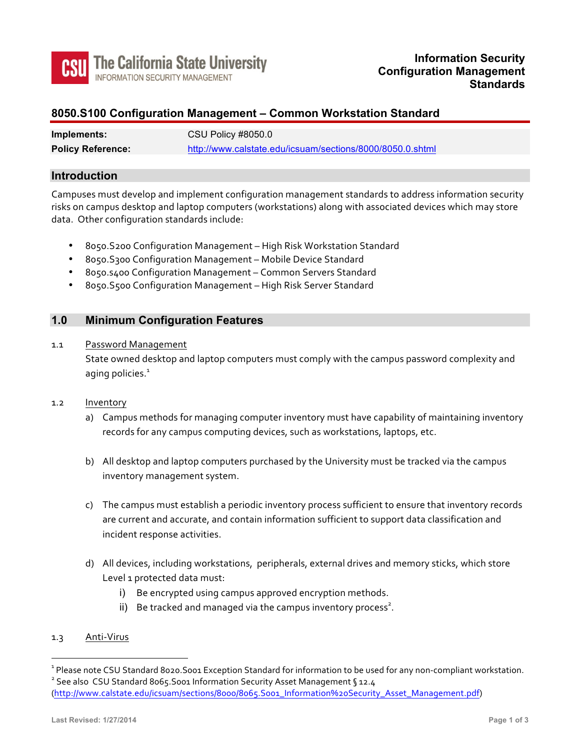

# **8050.S100 Configuration Management – Common Workstation Standard**

| Implements:              | CSU Policy #8050.0                                        |
|--------------------------|-----------------------------------------------------------|
| <b>Policy Reference:</b> | http://www.calstate.edu/icsuam/sections/8000/8050.0.shtml |

# **Introduction**

Campuses must develop and implement configuration management standards to address information security risks on campus desktop and laptop computers (workstations) along with associated devices which may store data. Other configuration standards include:

- 8050. S200 Configuration Management High Risk Workstation Standard
- 8050. S300 Configuration Management Mobile Device Standard
- 8050.5400 Configuration Management Common Servers Standard
- 8050.S500 Configuration Management High Risk Server Standard

### **1.0 Minimum Configuration Features**

#### 1.1 Password Management

State owned desktop and laptop computers must comply with the campus password complexity and aging policies. $<sup>1</sup>$ </sup>

- 1.2 Inventory
	- a) Campus methods for managing computer inventory must have capability of maintaining inventory records for any campus computing devices, such as workstations, laptops, etc.
	- b) All desktop and laptop computers purchased by the University must be tracked via the campus inventory management system.
	- c) The campus must establish a periodic inventory process sufficient to ensure that inventory records are current and accurate, and contain information sufficient to support data classification and incident response activities.
	- d) All devices, including workstations, peripherals, external drives and memory sticks, which store Level 1 protected data must:
		- i) Be encrypted using campus approved encryption methods.
		- ii) Be tracked and managed via the campus inventory process<sup>2</sup>.

#### 1.3 Anti-Virus

 $\overline{a}$ 

```
(http://www.calstate.edu/icsuam/sections/8000/8065.S001_Information%20Security_Asset_Management.pdf)
```
<sup>&</sup>lt;sup>1</sup> Please note CSU Standard 8020.S001 Exception Standard for information to be used for any non-compliant workstation.<br><sup>2</sup> See also CSU Standard 8065.S001 Information Security Asset Management § 12.4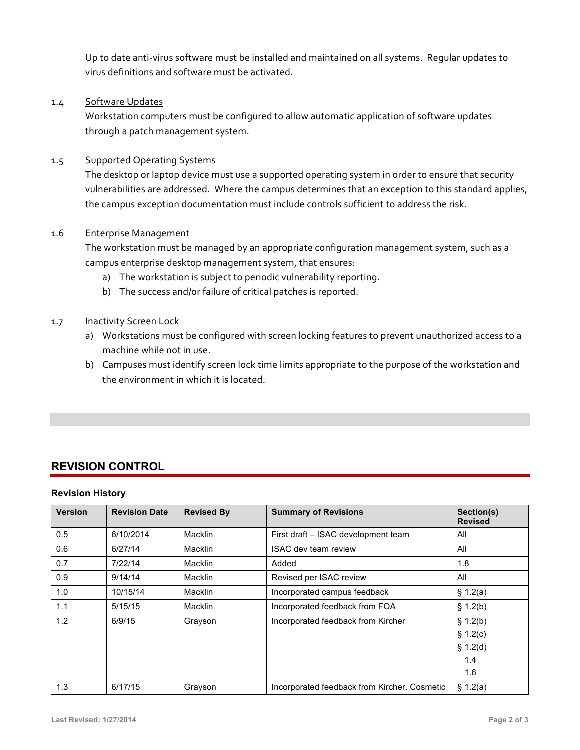Up to date anti-virus software must be installed and maintained on all systems. Regular updates to virus definitions and software must be activated.

# 1.4 Software Updates

Workstation computers must be configured to allow automatic application of software updates through a patch management system.

# 1.5 Supported Operating Systems

The desktop or laptop device must use a supported operating system in order to ensure that security vulnerabilities are addressed. Where the campus determines that an exception to this standard applies, the campus exception documentation must include controls sufficient to address the risk.

# 1.6 Enterprise Management

The workstation must be managed by an appropriate configuration management system, such as a campus enterprise desktop management system, that ensures:

- a) The workstation is subject to periodic vulnerability reporting.
- b) The success and/or failure of critical patches is reported.

# 1.7 **Inactivity Screen Lock**

- a) Workstations must be configured with screen locking features to prevent unauthorized access to a machine while not in use.
- b) Campuses must identify screen lock time limits appropriate to the purpose of the workstation and the environment in which it is located.

# **REVISION CONTROL**

# **Revision History**

| <b>Version</b> | <b>Revision Date</b> | <b>Revised By</b> | <b>Summary of Revisions</b>                  | Section(s)<br><b>Revised</b>                   |
|----------------|----------------------|-------------------|----------------------------------------------|------------------------------------------------|
| 0.5            | 6/10/2014            | Macklin           | First draft - ISAC development team          | All                                            |
| 0.6            | 6/27/14              | Macklin           | <b>ISAC dev team review</b>                  | All                                            |
| 0.7            | 7/22/14              | Macklin           | Added                                        | 1.8                                            |
| 0.9            | 9/14/14              | Macklin           | Revised per ISAC review                      | All                                            |
| 1.0            | 10/15/14             | Macklin           | Incorporated campus feedback                 | \$1.2(a)                                       |
| 1.1            | 5/15/15              | Macklin           | Incorporated feedback from FOA               | \$1.2(b)                                       |
| 1.2            | 6/9/15               | Grayson           | Incorporated feedback from Kircher           | § 1.2(b)<br>\$1.2(c)<br>\$1.2(d)<br>1.4<br>1.6 |
| 1.3            | 6/17/15              | Grayson           | Incorporated feedback from Kircher. Cosmetic | \$1.2(a)                                       |